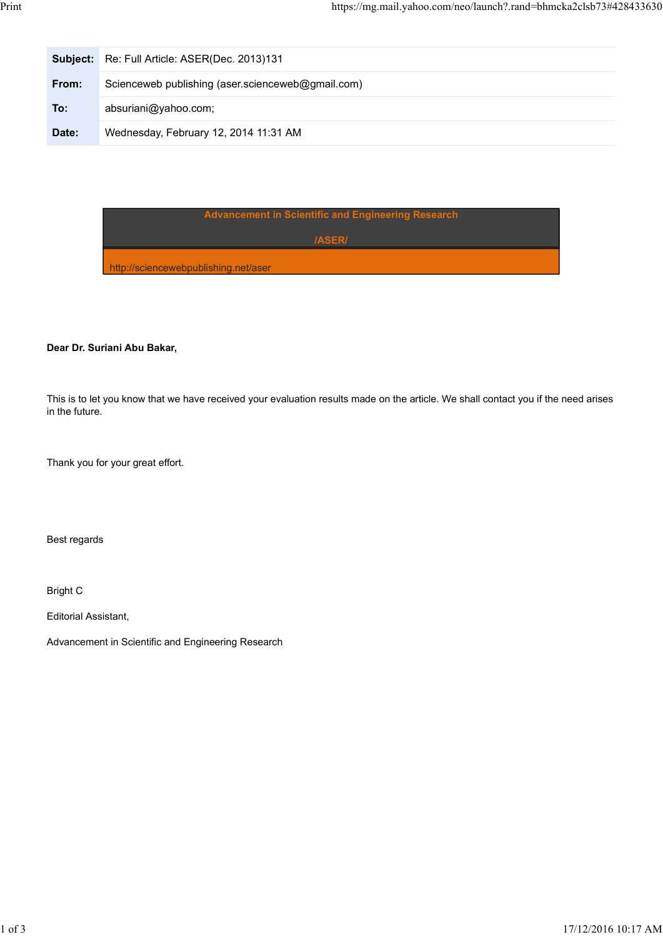| Print |          | https://mg.mail.yahoo.com/neo/launch?.rand=bhmcka2clsb73#428433630 |  |
|-------|----------|--------------------------------------------------------------------|--|
|       |          |                                                                    |  |
|       | Subject: | Re: Full Article: ASER(Dec. 2013)131                               |  |
|       | From:    | Scienceweb publishing (aser.scienceweb@gmail.com)                  |  |
|       | To:      | absuriani@yahoo.com;                                               |  |
|       | Date:    | Wednesday, February 12, 2014 11:31 AM                              |  |

|                                      | Advancement in Scientific and Engineering Research |  |
|--------------------------------------|----------------------------------------------------|--|
|                                      | <b>IASERI</b>                                      |  |
| http://sciencewebpublishing.net/aser |                                                    |  |

## Dear Dr. Suriani Abu Bakar,

This is to let you know that we have received your evaluation results made on the article. We shall contact you if the need arises in the future.

Thank you for your great effort.

Best regards

Bright C

Editorial Assistant,

Advancement in Scientific and Engineering Research Advancement in Scientific and Engineering Research<br>
17/12/2016 10:17 AM<br>
17/12/2016 10:17 AM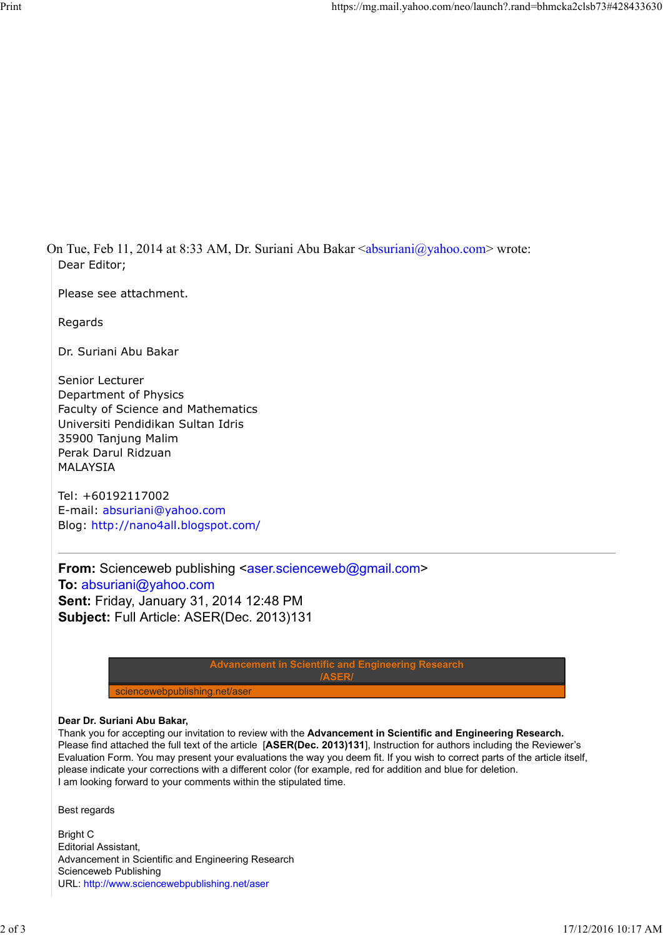On Tue, Feb 11, 2014 at 8:33 AM, Dr. Suriani Abu Bakar <absuriani@yahoo.com> wrote: Dear Editor;

Please see attachment.

Regards

Dr. Suriani Abu Bakar

Senior Lecturer Department of Physics Faculty of Science and Mathematics Universiti Pendidikan Sultan Idris 35900 Tanjung Malim Perak Darul Ridzuan MALAYSIA

Tel: +60192117002 E-mail: absuriani@yahoo.com Blog: http://nano4all.blogspot.com/

From: Scienceweb publishing <aser.scienceweb@gmail.com> To: absuriani@yahoo.com Sent: Friday, January 31, 2014 12:48 PM Subject: Full Article: ASER(Dec. 2013)131

> Advancement in Scientific and Engineering Research /ASER/

sciencewebpublishing.net/aser

## Dear Dr. Suriani Abu Bakar,

Thank you for accepting our invitation to review with the Advancement in Scientific and Engineering Research. Please find attached the full text of the article [ASER(Dec. 2013)131], Instruction for authors including the Reviewer's Evaluation Form. You may present your evaluations the way you deem fit. If you wish to correct parts of the article itself, please indicate your corrections with a different color (for example, red for addition and blue for deletion. I am looking forward to your comments within the stipulated time. Advancement in Scientific and Engineering Research<br> **2 of 3 17/12/2016** 16:17<br> **2 of 3**<br> **2** of 3<br> **2** of 3<br> **2** of 3<br> **2** of 3<br> **2** of 3<br> **2** of 3<br> **2** of 3<br> **2** of 3<br> **2** of 3<br> **2** of 3<br> **2** of 3<br> **2** of 3<br> **2** of 3<br> **2** 

Best regards

Bright C Editorial Assistant, Advancement in Scientific and Engineering Research Scienceweb Publishing URL: http://www.sciencewebpublishing.net/aser